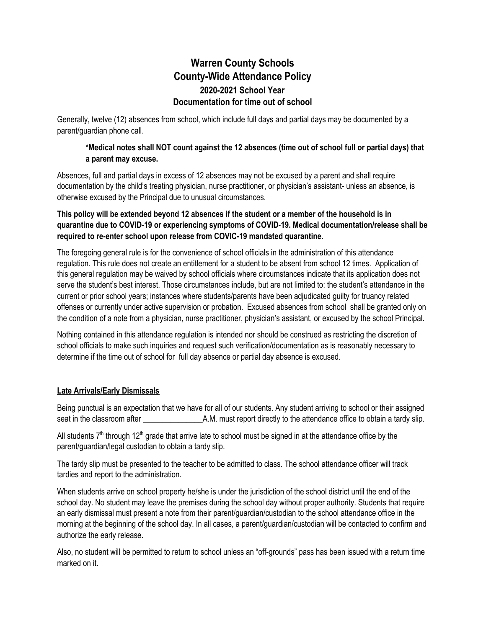# **Warren County Schools County-Wide Attendance Policy 2020-2021 School Year Documentation for time out of school**

Generally, twelve (12) absences from school, which include full days and partial days may be documented by a parent/guardian phone call.

### \*Medical notes shall NOT count against the 12 absences (time out of school full or partial days) that **a parent may excuse.**

Absences, full and partial days in excess of 12 absences may not be excused by a parent and shall require documentation by the child's treating physician, nurse practitioner, or physician's assistant- unless an absence, is otherwise excused by the Principal due to unusual circumstances.

### This policy will be extended beyond 12 absences if the student or a member of the household is in **quarantine due to COVID-19 or experiencing symptoms of COVID-19. Medical documentation/release shall be required to re-enter school upon release from COVIC-19 mandated quarantine.**

The foregoing general rule is for the convenience of school officials in the administration of this attendance regulation. This rule does not create an entitlement for a student to be absent from school 12 times. Application of this general regulation may be waived by school officials where circumstances indicate that its application does not serve the student's best interest. Those circumstances include, but are not limited to: the student's attendance in the current or prior school years; instances where students/parents have been adjudicated guilty for truancy related offenses or currently under active supervision or probation. Excused absences from school shall be granted only on the condition of a note from a physician, nurse practitioner, physician's assistant, or excused by the school Principal.

Nothing contained in this attendance regulation is intended nor should be construed as restricting the discretion of school officials to make such inquiries and request such verification/documentation as is reasonably necessary to determine if the time out of school for full day absence or partial day absence is excused.

### **Late Arrivals/Early Dismissals**

Being punctual is an expectation that we have for all of our students. Any student arriving to school or their assigned seat in the classroom after \_\_\_\_\_\_\_\_\_\_\_\_\_\_\_A.M. must report directly to the attendance office to obtain a tardy slip.

All students  $7<sup>th</sup>$  through 12<sup>th</sup> grade that arrive late to school must be signed in at the attendance office by the parent/guardian/legal custodian to obtain a tardy slip.

The tardy slip must be presented to the teacher to be admitted to class. The school attendance officer will track tardies and report to the administration.

When students arrive on school property he/she is under the jurisdiction of the school district until the end of the school day. No student may leave the premises during the school day without proper authority. Students that require an early dismissal must present a note from their parent/guardian/custodian to the school attendance office in the morning at the beginning of the school day. In all cases, a parent/guardian/custodian will be contacted to confirm and authorize the early release.

Also, no student will be permitted to return to school unless an "off-grounds" pass has been issued with a return time marked on it.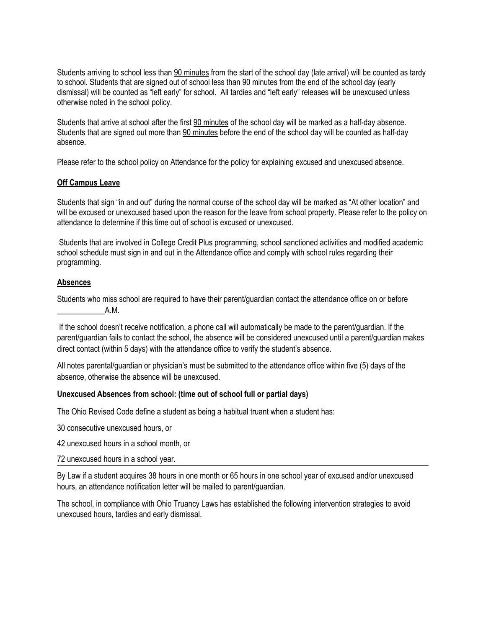Students arriving to school less than 90 minutes from the start of the school day (late arrival) will be counted as tardy to school. Students that are signed out of school less than 90 minutes from the end of the school day (early dismissal) will be counted as "left early" for school. All tardies and "left early" releases will be unexcused unless otherwise noted in the school policy.

Students that arrive at school after the first 90 minutes of the school day will be marked as a half-day absence. Students that are signed out more than 90 minutes before the end of the school day will be counted as half-day absence.

Please refer to the school policy on Attendance for the policy for explaining excused and unexcused absence.

#### **Off Campus Leave**

Students that sign "in and out" during the normal course of the school day will be marked as "At other location" and will be excused or unexcused based upon the reason for the leave from school property. Please refer to the policy on attendance to determine if this time out of school is excused or unexcused.

Students that are involved in College Credit Plus programming, school sanctioned activities and modified academic school schedule must sign in and out in the Attendance office and comply with school rules regarding their programming.

#### **Absences**

Students who miss school are required to have their parent/guardian contact the attendance office on or before  $A.M.$ 

If the school doesn't receive notification, a phone call will automatically be made to the parent/guardian. If the parent/guardian fails to contact the school, the absence will be considered unexcused until a parent/guardian makes direct contact (within 5 days) with the attendance office to verify the student's absence.

All notes parental/guardian or physician's must be submitted to the attendance office within five (5) days of the absence, otherwise the absence will be unexcused.

#### **Unexcused Absences from school: (time out of school full or partial days)**

The Ohio Revised Code define a student as being a habitual truant when a student has:

30 consecutive unexcused hours, or

42 unexcused hours in a school month, or

72 unexcused hours in a school year.

By Law if a student acquires 38 hours in one month or 65 hours in one school year of excused and/or unexcused hours, an attendance notification letter will be mailed to parent/guardian.

The school, in compliance with Ohio Truancy Laws has established the following intervention strategies to avoid unexcused hours, tardies and early dismissal.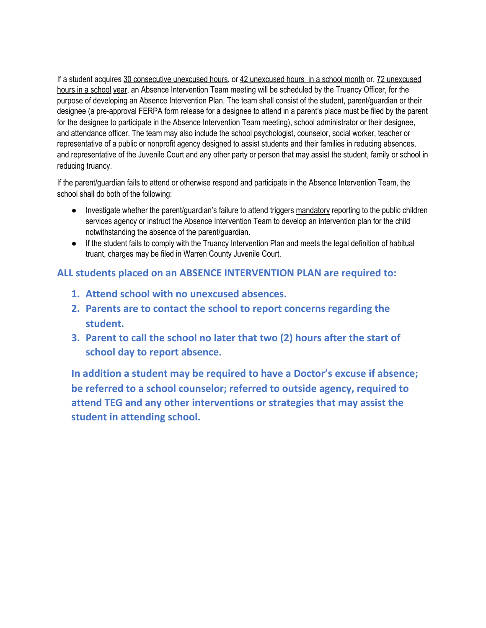If a student acquires 30 consecutive unexcused hours, or 42 unexcused hours in a school month or, 72 unexcused hours in a school year, an Absence Intervention Team meeting will be scheduled by the Truancy Officer, for the purpose of developing an Absence Intervention Plan. The team shall consist of the student, parent/guardian or their designee (a pre-approval FERPA form release for a designee to attend in a parent's place must be filed by the parent for the designee to participate in the Absence Intervention Team meeting), school administrator or their designee, and attendance officer. The team may also include the school psychologist, counselor, social worker, teacher or representative of a public or nonprofit agency designed to assist students and their families in reducing absences, and representative of the Juvenile Court and any other party or person that may assist the student, family or school in reducing truancy.

If the parent/guardian fails to attend or otherwise respond and participate in the Absence Intervention Team, the school shall do both of the following:

- Investigate whether the parent/guardian's failure to attend triggers mandatory reporting to the public children services agency or instruct the Absence Intervention Team to develop an intervention plan for the child notwithstanding the absence of the parent/guardian.
- If the student fails to comply with the Truancy Intervention Plan and meets the legal definition of habitual truant, charges may be filed in Warren County Juvenile Court.

## **ALL students placed on an ABSENCE INTERVENTION PLAN are required to:**

- **1. Attend school with no unexcused absences.**
- **2. Parents are to contact the school to report concerns regarding the student.**
- **3. Parent to call the school no later that two (2) hours after the start of school day to report absence.**

**In addition a student may be required to have a Doctor's excuse if absence; be referred to a school counselor; referred to outside agency, required to attend TEG and any other interventions or strategies that may assist the student in attending school.**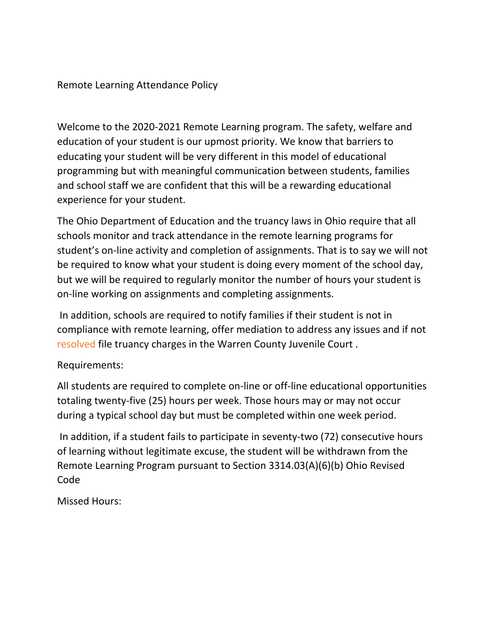## Remote Learning Attendance Policy

Welcome to the 2020-2021 Remote Learning program. The safety, welfare and education of your student is our upmost priority. We know that barriers to educating your student will be very different in this model of educational programming but with meaningful communication between students, families and school staff we are confident that this will be a rewarding educational experience for your student.

The Ohio Department of Education and the truancy laws in Ohio require that all schools monitor and track attendance in the remote learning programs for student's on-line activity and completion of assignments. That is to say we will not be required to know what your student is doing every moment of the school day, but we will be required to regularly monitor the number of hours your student is on-line working on assignments and completing assignments.

In addition, schools are required to notify families if their student is not in compliance with remote learning, offer mediation to address any issues and if not resolved file truancy charges in the Warren County Juvenile Court .

## Requirements:

All students are required to complete on-line or off-line educational opportunities totaling twenty-five (25) hours per week. Those hours may or may not occur during a typical school day but must be completed within one week period.

In addition, if a student fails to participate in seventy-two (72) consecutive hours of learning without legitimate excuse, the student will be withdrawn from the Remote Learning Program pursuant to Section 3314.03(A)(6)(b) Ohio Revised Code

Missed Hours: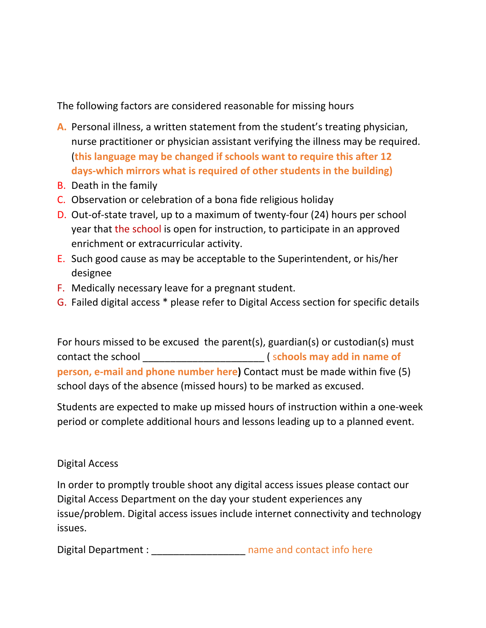The following factors are considered reasonable for missing hours

- **A.** Personal illness, a written statement from the student's treating physician, nurse practitioner or physician assistant verifying the illness may be required. (**this language may be changed if schools want to require this after 12 days-which mirrors what is required of other students in the building)**
- B. Death in the family
- C. Observation or celebration of a bona fide religious holiday
- D. Out-of-state travel, up to a maximum of twenty-four (24) hours per school year that the school is open for instruction, to participate in an approved enrichment or extracurricular activity.
- E. Such good cause as may be acceptable to the Superintendent, or his/her designee
- F. Medically necessary leave for a pregnant student.
- G. Failed digital access \* please refer to Digital Access section for specific details

For hours missed to be excused the parent(s), guardian(s) or custodian(s) must contact the school \_\_\_\_\_\_\_\_\_\_\_\_\_\_\_\_\_\_\_\_\_\_ ( s**chools may add in name of person, e-mail and phone number here)** Contact must be made within five (5) school days of the absence (missed hours) to be marked as excused.

Students are expected to make up missed hours of instruction within a one-week period or complete additional hours and lessons leading up to a planned event.

# Digital Access

In order to promptly trouble shoot any digital access issues please contact our Digital Access Department on the day your student experiences any issue/problem. Digital access issues include internet connectivity and technology issues.

Digital Department : which is a mame and contact info here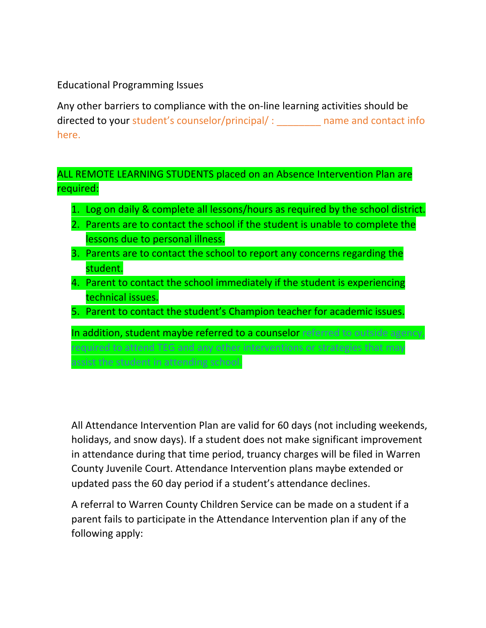Educational Programming Issues

Any other barriers to compliance with the on-line learning activities should be directed to your student's counselor/principal/ : \_\_\_\_\_\_\_\_ name and contact info here.

ALL REMOTE LEARNING STUDENTS placed on an Absence Intervention Plan are required:

- 1. Log on daily & complete all lessons/hours as required by the school district.
- 2. Parents are to contact the school if the student is unable to complete the lessons due to personal illness.
- 3. Parents are to contact the school to report any concerns regarding the student.
- 4. Parent to contact the school immediately if the student is experiencing technical issues.
- 5. Parent to contact the student's Champion teacher for academic issues.

In addition, student maybe referred to a counselor referred to outside agency, required to attend TEG and any other interventions or strategies that may assist the student in attending school.

All Attendance Intervention Plan are valid for 60 days (not including weekends, holidays, and snow days). If a student does not make significant improvement in attendance during that time period, truancy charges will be filed in Warren County Juvenile Court. Attendance Intervention plans maybe extended or updated pass the 60 day period if a student's attendance declines.

A referral to Warren County Children Service can be made on a student if a parent fails to participate in the Attendance Intervention plan if any of the following apply: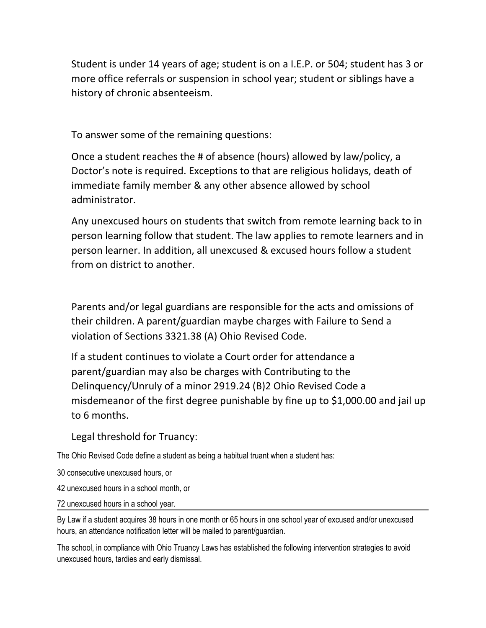Student is under 14 years of age; student is on a I.E.P. or 504; student has 3 or more office referrals or suspension in school year; student or siblings have a history of chronic absenteeism.

To answer some of the remaining questions:

Once a student reaches the # of absence (hours) allowed by law/policy, a Doctor's note is required. Exceptions to that are religious holidays, death of immediate family member & any other absence allowed by school administrator.

Any unexcused hours on students that switch from remote learning back to in person learning follow that student. The law applies to remote learners and in person learner. In addition, all unexcused & excused hours follow a student from on district to another.

Parents and/or legal guardians are responsible for the acts and omissions of their children. A parent/guardian maybe charges with Failure to Send a violation of Sections 3321.38 (A) Ohio Revised Code.

If a student continues to violate a Court order for attendance a parent/guardian may also be charges with Contributing to the Delinquency/Unruly of a minor 2919.24 (B)2 Ohio Revised Code a misdemeanor of the first degree punishable by fine up to \$1,000.00 and jail up to 6 months.

Legal threshold for Truancy:

The Ohio Revised Code define a student as being a habitual truant when a student has:

30 consecutive unexcused hours, or

42 unexcused hours in a school month, or

72 unexcused hours in a school year.

By Law if a student acquires 38 hours in one month or 65 hours in one school year of excused and/or unexcused hours, an attendance notification letter will be mailed to parent/guardian.

The school, in compliance with Ohio Truancy Laws has established the following intervention strategies to avoid unexcused hours, tardies and early dismissal.